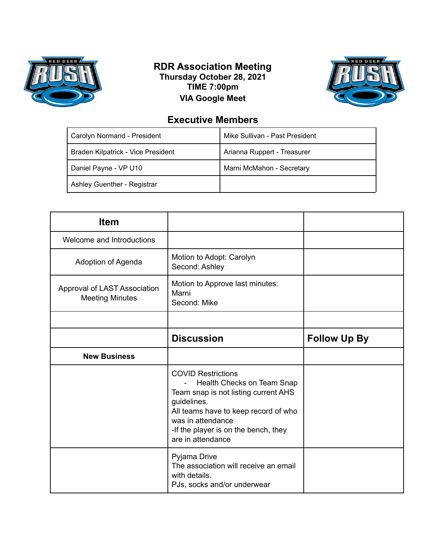

## **RDR Association Meeting Thursday October 28, 2021 TIME 7:00pm VIA Google Meet**



## **Executive Members**

| Carolyn Normand - President        | Mike Sullivan - Past President |
|------------------------------------|--------------------------------|
| Braden Kilpatrick - Vice President | Arianna Ruppert - Treasurer    |
| Daniel Payne - VP U10              | Marni McMahon - Secretary      |
| Ashley Guenther - Registrar        |                                |

| <b>Item</b>                                            |                                                                                                                                                                                                                                                            |                     |
|--------------------------------------------------------|------------------------------------------------------------------------------------------------------------------------------------------------------------------------------------------------------------------------------------------------------------|---------------------|
| Welcome and Introductions                              |                                                                                                                                                                                                                                                            |                     |
| Adoption of Agenda                                     | Motion to Adopt: Carolyn<br>Second: Ashley                                                                                                                                                                                                                 |                     |
| Approval of LAST Association<br><b>Meeting Minutes</b> | Motion to Approve last minutes:<br>Marni<br>Second: Mike                                                                                                                                                                                                   |                     |
|                                                        |                                                                                                                                                                                                                                                            |                     |
|                                                        | <b>Discussion</b>                                                                                                                                                                                                                                          | <b>Follow Up By</b> |
| <b>New Business</b>                                    |                                                                                                                                                                                                                                                            |                     |
|                                                        | <b>COVID Restrictions</b><br>Health Checks on Team Snap<br>$\blacksquare$<br>Team snap is not listing current AHS<br>guidelines.<br>All teams have to keep record of who<br>was in attendance<br>-If the player is on the bench, they<br>are in attendance |                     |
|                                                        | Pyjama Drive<br>The association will receive an email<br>with details.                                                                                                                                                                                     |                     |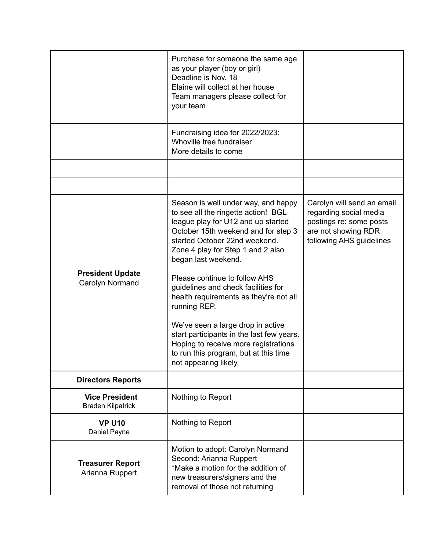|                                                   | Purchase for someone the same age<br>as your player (boy or girl)<br>Deadline is Nov. 18<br>Elaine will collect at her house<br>Team managers please collect for<br>your team                                                                        |                                                                                                                                    |
|---------------------------------------------------|------------------------------------------------------------------------------------------------------------------------------------------------------------------------------------------------------------------------------------------------------|------------------------------------------------------------------------------------------------------------------------------------|
|                                                   | Fundraising idea for 2022/2023:<br>Whoville tree fundraiser<br>More details to come                                                                                                                                                                  |                                                                                                                                    |
|                                                   |                                                                                                                                                                                                                                                      |                                                                                                                                    |
|                                                   |                                                                                                                                                                                                                                                      |                                                                                                                                    |
|                                                   | Season is well under way, and happy<br>to see all the ringette action! BGL<br>league play for U12 and up started<br>October 15th weekend and for step 3<br>started October 22nd weekend.<br>Zone 4 play for Step 1 and 2 also<br>began last weekend. | Carolyn will send an email<br>regarding social media<br>postings re: some posts<br>are not showing RDR<br>following AHS guidelines |
| <b>President Update</b><br>Carolyn Normand        | Please continue to follow AHS<br>guidelines and check facilities for<br>health requirements as they're not all<br>running REP.                                                                                                                       |                                                                                                                                    |
|                                                   | We've seen a large drop in active<br>start participants in the last few years.<br>Hoping to receive more registrations<br>to run this program, but at this time<br>not appearing likely.                                                             |                                                                                                                                    |
| <b>Directors Reports</b>                          |                                                                                                                                                                                                                                                      |                                                                                                                                    |
| <b>Vice President</b><br><b>Braden Kilpatrick</b> | Nothing to Report                                                                                                                                                                                                                                    |                                                                                                                                    |
| <b>VP U10</b><br>Daniel Payne                     | Nothing to Report                                                                                                                                                                                                                                    |                                                                                                                                    |
| <b>Treasurer Report</b><br>Arianna Ruppert        | Motion to adopt: Carolyn Normand<br>Second: Arianna Ruppert<br>*Make a motion for the addition of<br>new treasurers/signers and the<br>removal of those not returning                                                                                |                                                                                                                                    |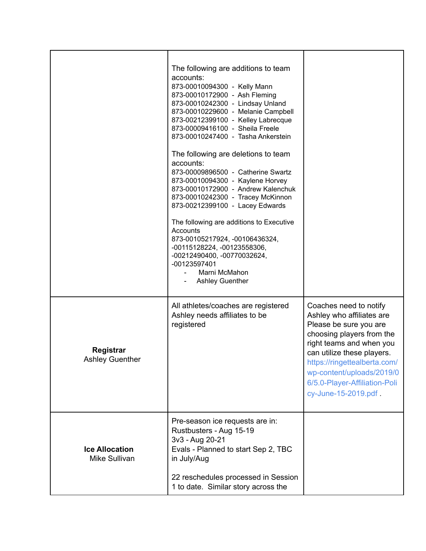|                                        | The following are additions to team<br>accounts:<br>873-00010094300 - Kelly Mann<br>873-00010172900 - Ash Fleming<br>873-00010242300 - Lindsay Unland<br>873-00010229600 - Melanie Campbell<br>873-00212399100 - Kelley Labrecque<br>873-00009416100 - Sheila Freele<br>873-00010247400 - Tasha Ankerstein<br>The following are deletions to team<br>accounts:<br>873-00009896500 - Catherine Swartz<br>873-00010094300 - Kaylene Horvey<br>873-00010172900 - Andrew Kalenchuk<br>873-00010242300 - Tracey McKinnon<br>873-00212399100 - Lacey Edwards<br>The following are additions to Executive<br>Accounts<br>873-00105217924, -00106436324,<br>-00115128224, -00123558306,<br>-00212490400, -00770032624,<br>-00123597401<br>Marni McMahon<br><b>Ashley Guenther</b> |                                                                                                                                                                                                                                                                                           |
|----------------------------------------|---------------------------------------------------------------------------------------------------------------------------------------------------------------------------------------------------------------------------------------------------------------------------------------------------------------------------------------------------------------------------------------------------------------------------------------------------------------------------------------------------------------------------------------------------------------------------------------------------------------------------------------------------------------------------------------------------------------------------------------------------------------------------|-------------------------------------------------------------------------------------------------------------------------------------------------------------------------------------------------------------------------------------------------------------------------------------------|
| Registrar<br><b>Ashley Guenther</b>    | All athletes/coaches are registered<br>Ashley needs affiliates to be<br>registered                                                                                                                                                                                                                                                                                                                                                                                                                                                                                                                                                                                                                                                                                        | Coaches need to notify<br>Ashley who affiliates are<br>Please be sure you are<br>choosing players from the<br>right teams and when you<br>can utilize these players.<br>https://ringettealberta.com/<br>wp-content/uploads/2019/0<br>6/5.0-Player-Affiliation-Poli<br>cy-June-15-2019.pdf |
| <b>Ice Allocation</b><br>Mike Sullivan | Pre-season ice requests are in:<br>Rustbusters - Aug 15-19<br>3v3 - Aug 20-21<br>Evals - Planned to start Sep 2, TBC<br>in July/Aug<br>22 reschedules processed in Session<br>1 to date. Similar story across the                                                                                                                                                                                                                                                                                                                                                                                                                                                                                                                                                         |                                                                                                                                                                                                                                                                                           |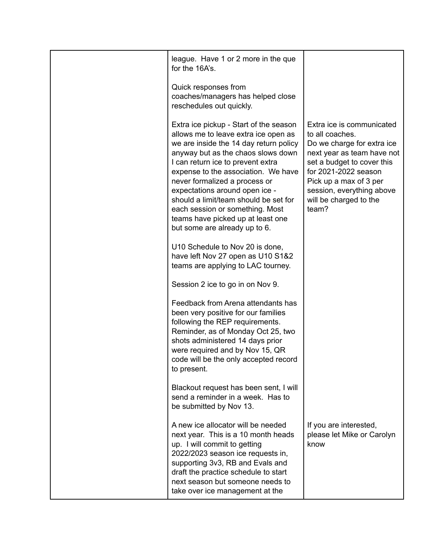| league. Have 1 or 2 more in the que<br>for the 16A's.                                                                                                                                                                                                                                                                                                                                                                                                           |                                                                                                                                                                                                                                                          |
|-----------------------------------------------------------------------------------------------------------------------------------------------------------------------------------------------------------------------------------------------------------------------------------------------------------------------------------------------------------------------------------------------------------------------------------------------------------------|----------------------------------------------------------------------------------------------------------------------------------------------------------------------------------------------------------------------------------------------------------|
| Quick responses from<br>coaches/managers has helped close<br>reschedules out quickly.                                                                                                                                                                                                                                                                                                                                                                           |                                                                                                                                                                                                                                                          |
| Extra ice pickup - Start of the season<br>allows me to leave extra ice open as<br>we are inside the 14 day return policy<br>anyway but as the chaos slows down<br>I can return ice to prevent extra<br>expense to the association. We have<br>never formalized a process or<br>expectations around open ice -<br>should a limit/team should be set for<br>each session or something. Most<br>teams have picked up at least one<br>but some are already up to 6. | Extra ice is communicated<br>to all coaches.<br>Do we charge for extra ice<br>next year as team have not<br>set a budget to cover this<br>for 2021-2022 season<br>Pick up a max of 3 per<br>session, everything above<br>will be charged to the<br>team? |
| U10 Schedule to Nov 20 is done,<br>have left Nov 27 open as U10 S1&2<br>teams are applying to LAC tourney.                                                                                                                                                                                                                                                                                                                                                      |                                                                                                                                                                                                                                                          |
| Session 2 ice to go in on Nov 9.                                                                                                                                                                                                                                                                                                                                                                                                                                |                                                                                                                                                                                                                                                          |
| Feedback from Arena attendants has<br>been very positive for our families<br>following the REP requirements.<br>Reminder, as of Monday Oct 25, two<br>shots administered 14 days prior<br>were required and by Nov 15, QR<br>code will be the only accepted record<br>to present.                                                                                                                                                                               |                                                                                                                                                                                                                                                          |
| Blackout request has been sent, I will<br>send a reminder in a week. Has to<br>be submitted by Nov 13.                                                                                                                                                                                                                                                                                                                                                          |                                                                                                                                                                                                                                                          |
| A new ice allocator will be needed<br>next year. This is a 10 month heads<br>up. I will commit to getting<br>2022/2023 season ice requests in,<br>supporting 3v3, RB and Evals and<br>draft the practice schedule to start<br>next season but someone needs to<br>take over ice management at the                                                                                                                                                               | If you are interested,<br>please let Mike or Carolyn<br>know                                                                                                                                                                                             |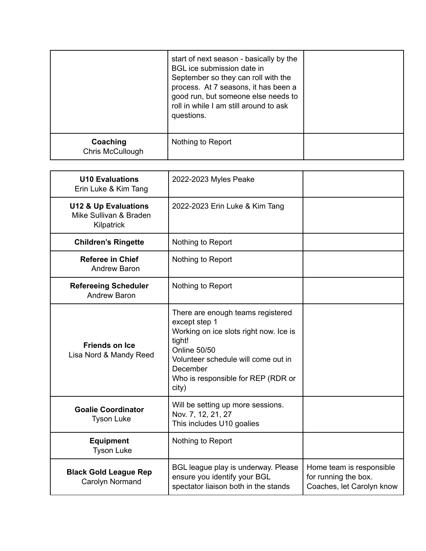|                                     | start of next season - basically by the<br>BGL ice submission date in<br>September so they can roll with the<br>process. At 7 seasons, it has been a<br>good run, but someone else needs to<br>roll in while I am still around to ask<br>questions. |  |
|-------------------------------------|-----------------------------------------------------------------------------------------------------------------------------------------------------------------------------------------------------------------------------------------------------|--|
| Coaching<br><b>Chris McCullough</b> | Nothing to Report                                                                                                                                                                                                                                   |  |

| <b>U10 Evaluations</b><br>Erin Luke & Kim Tang                          | 2022-2023 Myles Peake                                                                                                                                                                                                           |                                                                               |
|-------------------------------------------------------------------------|---------------------------------------------------------------------------------------------------------------------------------------------------------------------------------------------------------------------------------|-------------------------------------------------------------------------------|
| <b>U12 &amp; Up Evaluations</b><br>Mike Sullivan & Braden<br>Kilpatrick | 2022-2023 Erin Luke & Kim Tang                                                                                                                                                                                                  |                                                                               |
| <b>Children's Ringette</b>                                              | Nothing to Report                                                                                                                                                                                                               |                                                                               |
| <b>Referee in Chief</b><br><b>Andrew Baron</b>                          | Nothing to Report                                                                                                                                                                                                               |                                                                               |
| <b>Refereeing Scheduler</b><br><b>Andrew Baron</b>                      | Nothing to Report                                                                                                                                                                                                               |                                                                               |
| <b>Friends on Ice</b><br>Lisa Nord & Mandy Reed                         | There are enough teams registered<br>except step 1<br>Working on ice slots right now. Ice is<br>tight!<br><b>Online 50/50</b><br>Volunteer schedule will come out in<br>December<br>Who is responsible for REP (RDR or<br>city) |                                                                               |
| <b>Goalie Coordinator</b><br><b>Tyson Luke</b>                          | Will be setting up more sessions.<br>Nov. 7, 12, 21, 27<br>This includes U10 goalies                                                                                                                                            |                                                                               |
| <b>Equipment</b><br><b>Tyson Luke</b>                                   | Nothing to Report                                                                                                                                                                                                               |                                                                               |
| <b>Black Gold League Rep</b><br>Carolyn Normand                         | BGL league play is underway. Please<br>ensure you identify your BGL<br>spectator liaison both in the stands                                                                                                                     | Home team is responsible<br>for running the box.<br>Coaches, let Carolyn know |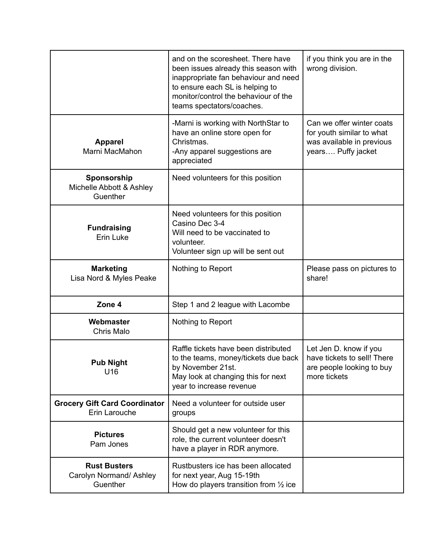|                                                            | and on the scoresheet. There have<br>been issues already this season with<br>inappropriate fan behaviour and need<br>to ensure each SL is helping to<br>monitor/control the behaviour of the<br>teams spectators/coaches. | if you think you are in the<br>wrong division.                                                            |
|------------------------------------------------------------|---------------------------------------------------------------------------------------------------------------------------------------------------------------------------------------------------------------------------|-----------------------------------------------------------------------------------------------------------|
| <b>Apparel</b><br>Marni MacMahon                           | -Marni is working with NorthStar to<br>have an online store open for<br>Christmas.<br>-Any apparel suggestions are<br>appreciated                                                                                         | Can we offer winter coats<br>for youth similar to what<br>was available in previous<br>years Puffy jacket |
| Sponsorship<br>Michelle Abbott & Ashley<br>Guenther        | Need volunteers for this position                                                                                                                                                                                         |                                                                                                           |
| <b>Fundraising</b><br>Erin Luke                            | Need volunteers for this position<br>Casino Dec 3-4<br>Will need to be vaccinated to<br>volunteer.<br>Volunteer sign up will be sent out                                                                                  |                                                                                                           |
| <b>Marketing</b><br>Lisa Nord & Myles Peake                | Nothing to Report                                                                                                                                                                                                         | Please pass on pictures to<br>share!                                                                      |
| Zone 4                                                     | Step 1 and 2 league with Lacombe                                                                                                                                                                                          |                                                                                                           |
| Webmaster<br><b>Chris Malo</b>                             | Nothing to Report                                                                                                                                                                                                         |                                                                                                           |
| <b>Pub Night</b><br>U16                                    | Raffle tickets have been distributed<br>to the teams, money/tickets due back<br>by November 21st.<br>May look at changing this for next<br>year to increase revenue                                                       | Let Jen D. know if you<br>have tickets to sell! There<br>are people looking to buy<br>more tickets        |
| <b>Grocery Gift Card Coordinator</b><br>Erin Larouche      | Need a volunteer for outside user<br>groups                                                                                                                                                                               |                                                                                                           |
| <b>Pictures</b><br>Pam Jones                               | Should get a new volunteer for this<br>role, the current volunteer doesn't<br>have a player in RDR anymore.                                                                                                               |                                                                                                           |
| <b>Rust Busters</b><br>Carolyn Normand/ Ashley<br>Guenther | Rustbusters ice has been allocated<br>for next year, Aug 15-19th<br>How do players transition from $\frac{1}{2}$ ice                                                                                                      |                                                                                                           |